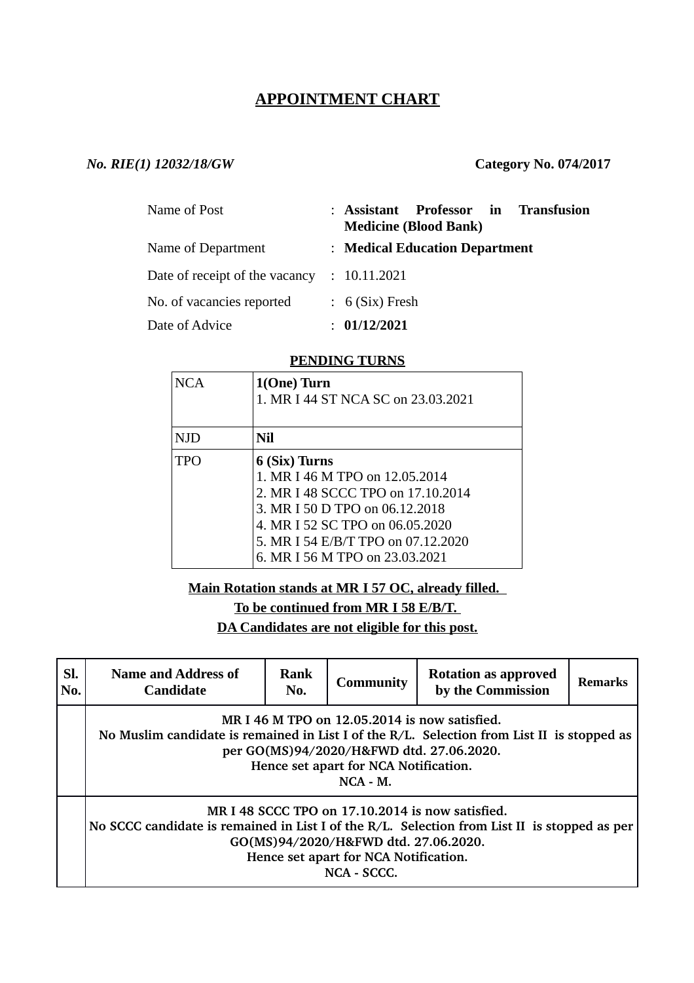# **APPOINTMENT CHART**

## *No. RIE(1) 12032/18/GW* **Category No. 074/2017**

| Name of Post                                | : Assistant Professor in Transfusion<br><b>Medicine (Blood Bank)</b> |
|---------------------------------------------|----------------------------------------------------------------------|
| Name of Department                          | : Medical Education Department                                       |
| Date of receipt of the vacancy : 10.11.2021 |                                                                      |
| No. of vacancies reported                   | $: 6$ (Six) Fresh                                                    |
| Date of Advice                              | : 01/12/2021                                                         |

#### **PENDING TURNS**

| <b>NCA</b> | 1(One) Turn<br>1. MR I 44 ST NCA SC on 23.03.2021                                                                                                                                                                                 |
|------------|-----------------------------------------------------------------------------------------------------------------------------------------------------------------------------------------------------------------------------------|
| NJD.       | Nil                                                                                                                                                                                                                               |
| <b>TPO</b> | 6 (Six) Turns<br>1. MR I 46 M TPO on 12.05.2014<br>2. MR I 48 SCCC TPO on 17.10.2014<br>3. MR I 50 D TPO on 06.12.2018<br>4. MR I 52 SC TPO on 06.05.2020<br>5. MR I 54 E/B/T TPO on 07.12.2020<br>6. MR I 56 M TPO on 23.03.2021 |

## **Main Rotation stands at MR I 57 OC, already filled.**

**To be continued from MR I 58 E/B/T.** 

**DA Candidates are not eligible for this post.**

| SI.<br>No. | <b>Name and Address of</b><br><b>Candidate</b>                                                                                                                                                                                                      | <b>Rank</b><br>No. | <b>Community</b> | <b>Rotation as approved</b><br>by the Commission | Remarks |  |
|------------|-----------------------------------------------------------------------------------------------------------------------------------------------------------------------------------------------------------------------------------------------------|--------------------|------------------|--------------------------------------------------|---------|--|
|            | MR I 46 M TPO on 12.05.2014 is now satisfied.<br>No Muslim candidate is remained in List I of the R/L. Selection from List II is stopped as<br>per GO(MS)94/2020/H&FWD dtd. 27.06.2020.<br>Hence set apart for NCA Notification.<br>$NCA - M$ .     |                    |                  |                                                  |         |  |
|            | MR I 48 SCCC TPO on 17.10.2014 is now satisfied.<br>No SCCC candidate is remained in List I of the $R/L$ . Selection from List II is stopped as per<br>GO(MS)94/2020/H&FWD dtd. 27.06.2020.<br>Hence set apart for NCA Notification.<br>NCA - SCCC. |                    |                  |                                                  |         |  |